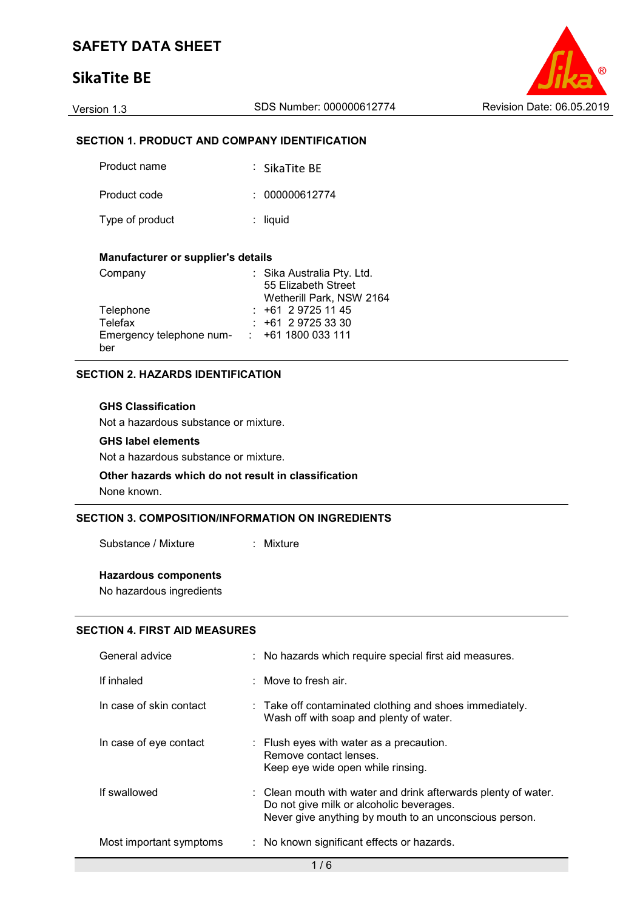# **SikaTite BE**



## **SECTION 1. PRODUCT AND COMPANY IDENTIFICATION**

| Product name    | $\therefore$ SikaTite BF |
|-----------------|--------------------------|
| Product code    | : 000000612774           |
| Type of product | $:$ liquid               |

#### **Manufacturer or supplier's details**

| Company                  | : Sika Australia Pty. Ltd. |
|--------------------------|----------------------------|
|                          | 55 Elizabeth Street        |
|                          | Wetherill Park, NSW 2164   |
| Telephone                | $: +61297251145$           |
| Telefax                  | $: +61297253330$           |
| Emergency telephone num- | : 4611800033111            |
| ber                      |                            |

### **SECTION 2. HAZARDS IDENTIFICATION**

#### **GHS Classification**

Not a hazardous substance or mixture.

#### **GHS label elements**

Not a hazardous substance or mixture.

#### **Other hazards which do not result in classification** None known.

## **SECTION 3. COMPOSITION/INFORMATION ON INGREDIENTS**

Substance / Mixture : Mixture

#### **Hazardous components**

No hazardous ingredients

#### **SECTION 4. FIRST AID MEASURES**

| General advice          | : No hazards which require special first aid measures.                                                                                                               |
|-------------------------|----------------------------------------------------------------------------------------------------------------------------------------------------------------------|
| If inhaled              | $\therefore$ Move to fresh air.                                                                                                                                      |
| In case of skin contact | : Take off contaminated clothing and shoes immediately.<br>Wash off with soap and plenty of water.                                                                   |
| In case of eye contact  | : Flush eyes with water as a precaution.<br>Remove contact lenses.<br>Keep eye wide open while rinsing.                                                              |
| If swallowed            | : Clean mouth with water and drink afterwards plenty of water.<br>Do not give milk or alcoholic beverages.<br>Never give anything by mouth to an unconscious person. |
| Most important symptoms | : No known significant effects or hazards.                                                                                                                           |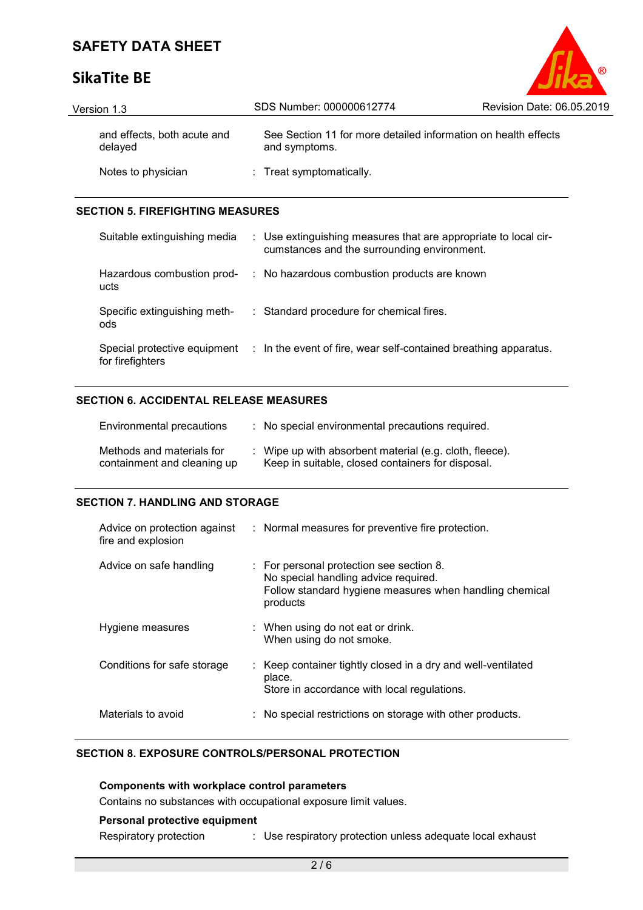# **SikaTite BE**

| Version 1.3                            | SDS Number: 000000612774                                                        | Revision Date: 06.05.2019 |
|----------------------------------------|---------------------------------------------------------------------------------|---------------------------|
| and effects, both acute and<br>delayed | See Section 11 for more detailed information on health effects<br>and symptoms. |                           |
| Notes to physician                     | : Treat symptomatically.                                                        |                           |

 $^{\circ}$ 

### **SECTION 5. FIREFIGHTING MEASURES**

| Suitable extinguishing media                     | : Use extinguishing measures that are appropriate to local cir-<br>cumstances and the surrounding environment. |
|--------------------------------------------------|----------------------------------------------------------------------------------------------------------------|
| Hazardous combustion prod-<br>ucts               | : No hazardous combustion products are known                                                                   |
| Specific extinguishing meth-<br>ods              | : Standard procedure for chemical fires.                                                                       |
| Special protective equipment<br>for firefighters | : In the event of fire, wear self-contained breathing apparatus.                                               |

### **SECTION 6. ACCIDENTAL RELEASE MEASURES**

| Environmental precautions                                | : No special environmental precautions required.                                                             |
|----------------------------------------------------------|--------------------------------------------------------------------------------------------------------------|
| Methods and materials for<br>containment and cleaning up | : Wipe up with absorbent material (e.g. cloth, fleece).<br>Keep in suitable, closed containers for disposal. |

### **SECTION 7. HANDLING AND STORAGE**

| Advice on protection against<br>fire and explosion | : Normal measures for preventive fire protection.                                                                                                       |
|----------------------------------------------------|---------------------------------------------------------------------------------------------------------------------------------------------------------|
| Advice on safe handling                            | : For personal protection see section 8.<br>No special handling advice required.<br>Follow standard hygiene measures when handling chemical<br>products |
| Hygiene measures                                   | $\therefore$ When using do not eat or drink.<br>When using do not smoke.                                                                                |
| Conditions for safe storage                        | : Keep container tightly closed in a dry and well-ventilated<br>place.<br>Store in accordance with local regulations.                                   |
| Materials to avoid                                 | No special restrictions on storage with other products.                                                                                                 |

## **SECTION 8. EXPOSURE CONTROLS/PERSONAL PROTECTION**

**Components with workplace control parameters** Contains no substances with occupational exposure limit values.

# **Personal protective equipment**

Respiratory protection : Use respiratory protection unless adequate local exhaust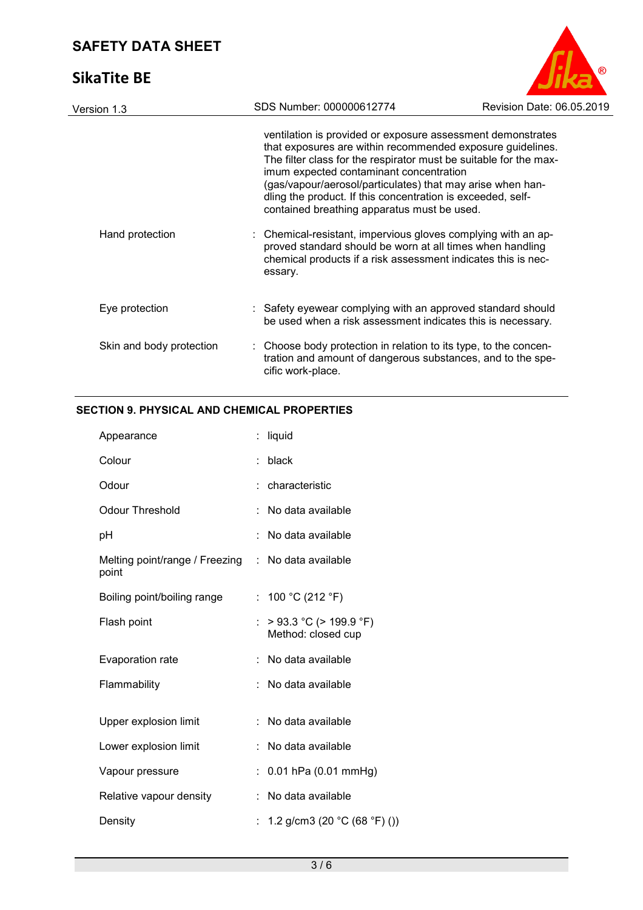# **SikaTite BE**



| Version 1.3              | SDS Number: 000000612774                                                                          | Revision Date: 06.05.2019                                                                                                                                                                                                                                                                                                                                                                                                                                                                                                  |
|--------------------------|---------------------------------------------------------------------------------------------------|----------------------------------------------------------------------------------------------------------------------------------------------------------------------------------------------------------------------------------------------------------------------------------------------------------------------------------------------------------------------------------------------------------------------------------------------------------------------------------------------------------------------------|
| Hand protection          | imum expected contaminant concentration<br>contained breathing apparatus must be used.<br>essary. | ventilation is provided or exposure assessment demonstrates<br>that exposures are within recommended exposure guidelines.<br>The filter class for the respirator must be suitable for the max-<br>(gas/vapour/aerosol/particulates) that may arise when han-<br>dling the product. If this concentration is exceeded, self-<br>: Chemical-resistant, impervious gloves complying with an ap-<br>proved standard should be worn at all times when handling<br>chemical products if a risk assessment indicates this is nec- |
| Eye protection           |                                                                                                   | : Safety eyewear complying with an approved standard should<br>be used when a risk assessment indicates this is necessary.                                                                                                                                                                                                                                                                                                                                                                                                 |
| Skin and body protection | cific work-place.                                                                                 | : Choose body protection in relation to its type, to the concen-<br>tration and amount of dangerous substances, and to the spe-                                                                                                                                                                                                                                                                                                                                                                                            |
|                          |                                                                                                   |                                                                                                                                                                                                                                                                                                                                                                                                                                                                                                                            |

## **SECTION 9. PHYSICAL AND CHEMICAL PROPERTIES**

| Appearance                              | t. | liquid                                            |
|-----------------------------------------|----|---------------------------------------------------|
| Colour                                  |    | black                                             |
| Odour                                   |    | characteristic                                    |
| <b>Odour Threshold</b>                  |    | No data available                                 |
| рH                                      |    | No data available                                 |
| Melting point/range / Freezing<br>point | ÷. | No data available                                 |
| Boiling point/boiling range             | t. | 100 °C (212 °F)                                   |
| Flash point                             | t. | $>$ 93.3 °C ( $>$ 199.9 °F)<br>Method: closed cup |
| Evaporation rate                        |    | No data available                                 |
| Flammability                            | t. | No data available                                 |
| Upper explosion limit                   |    | No data available                                 |
| Lower explosion limit                   |    | No data available                                 |
| Vapour pressure                         | t. | $0.01$ hPa $(0.01$ mmHg)                          |
| Relative vapour density                 |    | No data available                                 |
| Density                                 |    | 1.2 g/cm3 (20 $^{\circ}$ C (68 $^{\circ}$ F) ())  |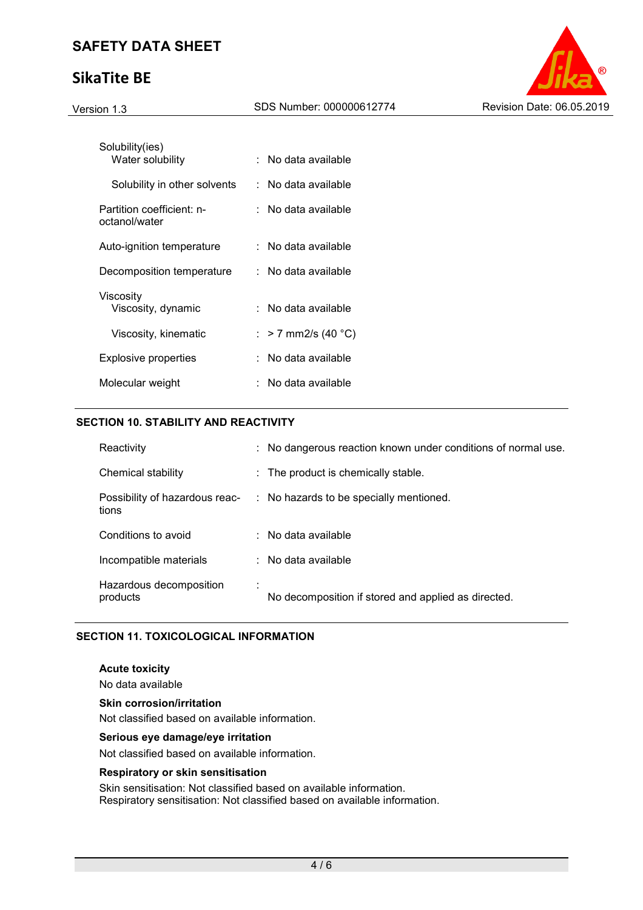# **SikaTite BE**



| Solubility(ies)<br>Water solubility        | No data available   |
|--------------------------------------------|---------------------|
| Solubility in other solvents               | : No data available |
| Partition coefficient: n-<br>octanol/water | No data available   |
| Auto-ignition temperature                  | No data available   |
| Decomposition temperature                  | No data available   |
| Viscosity<br>Viscosity, dynamic            | ∶ No data available |
| Viscosity, kinematic                       | : > 7 mm2/s (40 °C) |
| Explosive properties                       | No data available   |
| Molecular weight                           | No data available   |

## **SECTION 10. STABILITY AND REACTIVITY**

| Reactivity                              | : No dangerous reaction known under conditions of normal use. |
|-----------------------------------------|---------------------------------------------------------------|
| Chemical stability                      | : The product is chemically stable.                           |
| Possibility of hazardous reac-<br>tions | : No hazards to be specially mentioned.                       |
| Conditions to avoid                     | $\therefore$ No data available                                |
| Incompatible materials                  | $\therefore$ No data available                                |
| Hazardous decomposition<br>products     | No decomposition if stored and applied as directed.           |

### **SECTION 11. TOXICOLOGICAL INFORMATION**

#### **Acute toxicity**

No data available

**Skin corrosion/irritation** 

Not classified based on available information.

#### **Serious eye damage/eye irritation**

Not classified based on available information.

#### **Respiratory or skin sensitisation**

Skin sensitisation: Not classified based on available information. Respiratory sensitisation: Not classified based on available information.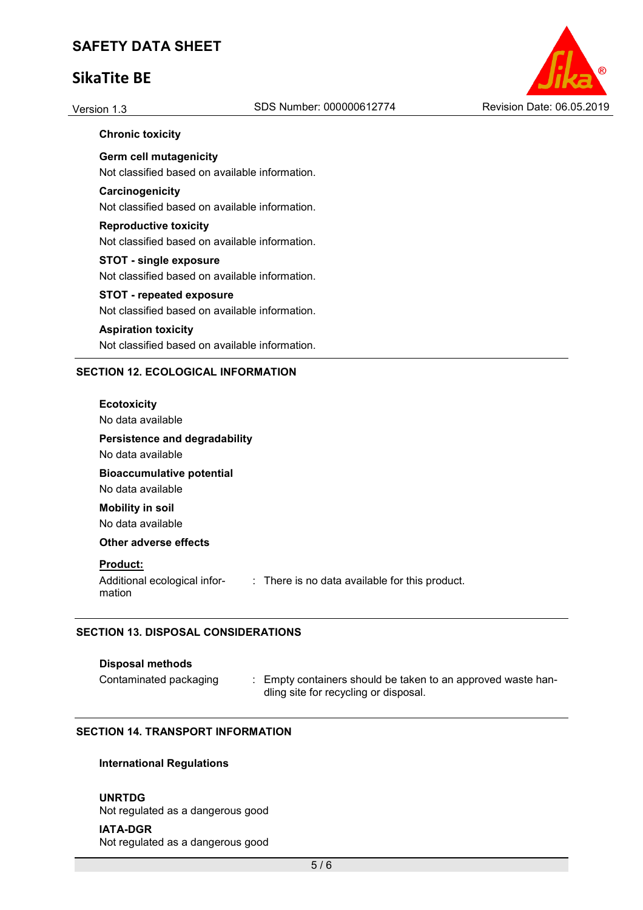# **SikaTite BE**



#### **Chronic toxicity**

**Germ cell mutagenicity**  Not classified based on available information.

#### **Carcinogenicity**

Not classified based on available information.

# **Reproductive toxicity**

Not classified based on available information.

#### **STOT - single exposure**

Not classified based on available information.

### **STOT - repeated exposure**

Not classified based on available information.

#### **Aspiration toxicity**

Not classified based on available information.

#### **SECTION 12. ECOLOGICAL INFORMATION**

#### **Ecotoxicity**

No data available

#### **Persistence and degradability**

No data available

# **Bioaccumulative potential**

No data available **Mobility in soil** 

No data available

### **Other adverse effects**

#### **Product:**

Additional ecological information : There is no data available for this product.

## **SECTION 13. DISPOSAL CONSIDERATIONS**

#### **Disposal methods**

Contaminated packaging : Empty containers should be taken to an approved waste handling site for recycling or disposal.

#### **SECTION 14. TRANSPORT INFORMATION**

### **International Regulations**

#### **UNRTDG**

Not regulated as a dangerous good

## **IATA-DGR**

Not regulated as a dangerous good